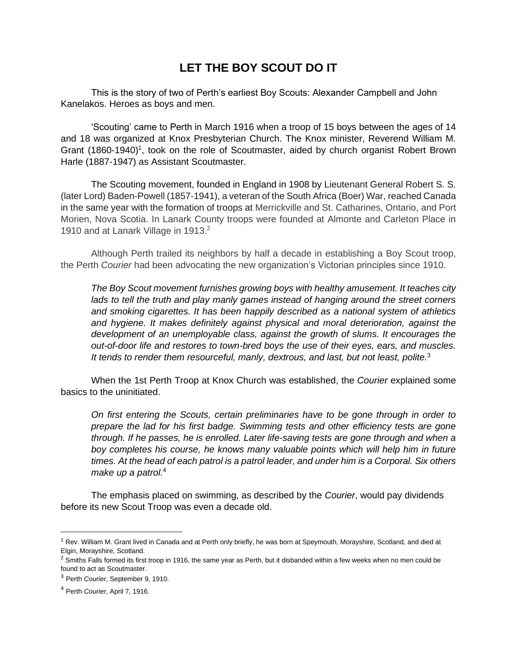# **LET THE BOY SCOUT DO IT**

This is the story of two of Perth's earliest Boy Scouts: Alexander Campbell and John Kanelakos. Heroes as boys and men.

'Scouting' came to Perth in March 1916 when a troop of 15 boys between the ages of 14 and 18 was organized at Knox Presbyterian Church. The Knox minister, Reverend William M. Grant (1860-1940)<sup>1</sup>, took on the role of Scoutmaster, aided by church organist Robert Brown Harle (1887-1947) as Assistant Scoutmaster.

The Scouting movement, founded in England in 1908 by Lieutenant General Robert S. S. (later Lord) Baden-Powell (1857-1941), a veteran of the South Africa (Boer) War, reached Canada in the same year with the formation of troops at Merrickville and St. Catharines, Ontario, and Port Morien, Nova Scotia. In Lanark County troops were founded at Almonte and Carleton Place in 1910 and at Lanark Village in 1913.<sup>2</sup>

Although Perth trailed its neighbors by half a decade in establishing a Boy Scout troop, the Perth *Courier* had been advocating the new organization's Victorian principles since 1910.

*The Boy Scout movement furnishes growing boys with healthy amusement. It teaches city lads to tell the truth and play manly games instead of hanging around the street corners and smoking cigarettes. It has been happily described as a national system of athletics and hygiene. It makes definitely against physical and moral deterioration, against the development of an unemployable class, against the growth of slums. It encourages the out-of-door life and restores to town-bred boys the use of their eyes, ears, and muscles. It tends to render them resourceful, manly, dextrous, and last, but not least, polite.*<sup>3</sup>

When the 1st Perth Troop at Knox Church was established, the *Courier* explained some basics to the uninitiated.

*On first entering the Scouts, certain preliminaries have to be gone through in order to prepare the lad for his first badge. Swimming tests and other efficiency tests are gone through. If he passes, he is enrolled. Later life-saving tests are gone through and when a boy completes his course, he knows many valuable points which will help him in future times. At the head of each patrol is a patrol leader, and under him is a Corporal. Six others make up a patrol.*<sup>4</sup>

The emphasis placed on swimming, as described by the *Courier*, would pay dividends before its new Scout Troop was even a decade old.

<sup>&</sup>lt;sup>1</sup> Rev. William M. Grant lived in Canada and at Perth only briefly, he was born at Speymouth, Morayshire, Scotland, and died at Elgin, Morayshire, Scotland.

<sup>&</sup>lt;sup>2</sup> Smiths Falls formed its first troop in 1916, the same year as Perth, but it disbanded within a few weeks when no men could be found to act as Scoutmaster.

<sup>3</sup> Perth *Courier*, September 9, 1910.

<sup>4</sup> Perth *Courier*, April 7, 1916.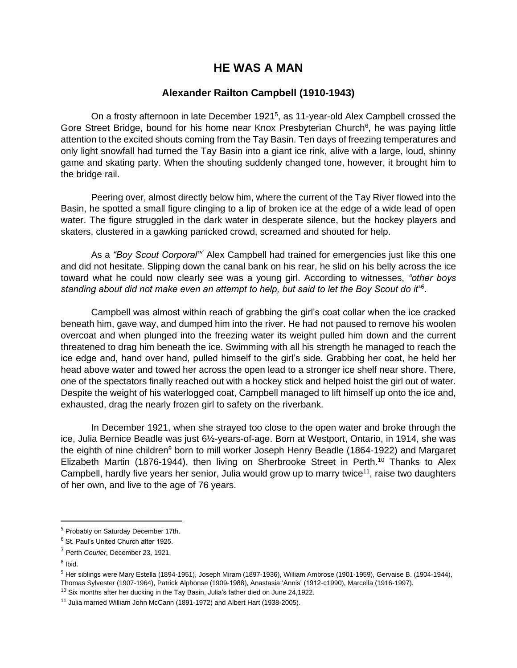### **HE WAS A MAN**

#### **Alexander Railton Campbell (1910-1943)**

On a frosty afternoon in late December 1921<sup>5</sup>, as 11-year-old Alex Campbell crossed the Gore Street Bridge, bound for his home near Knox Presbyterian Church<sup>6</sup>, he was paying little attention to the excited shouts coming from the Tay Basin. Ten days of freezing temperatures and only light snowfall had turned the Tay Basin into a giant ice rink, alive with a large, loud, shinny game and skating party. When the shouting suddenly changed tone, however, it brought him to the bridge rail.

Peering over, almost directly below him, where the current of the Tay River flowed into the Basin, he spotted a small figure clinging to a lip of broken ice at the edge of a wide lead of open water. The figure struggled in the dark water in desperate silence, but the hockey players and skaters, clustered in a gawking panicked crowd, screamed and shouted for help.

As a *"Boy Scout Corporal"<sup>7</sup>* Alex Campbell had trained for emergencies just like this one and did not hesitate. Slipping down the canal bank on his rear, he slid on his belly across the ice toward what he could now clearly see was a young girl. According to witnesses, *"other boys standing about did not make even an attempt to help, but said to let the Boy Scout do it"<sup>8</sup>* .

Campbell was almost within reach of grabbing the girl's coat collar when the ice cracked beneath him, gave way, and dumped him into the river. He had not paused to remove his woolen overcoat and when plunged into the freezing water its weight pulled him down and the current threatened to drag him beneath the ice. Swimming with all his strength he managed to reach the ice edge and, hand over hand, pulled himself to the girl's side. Grabbing her coat, he held her head above water and towed her across the open lead to a stronger ice shelf near shore. There, one of the spectators finally reached out with a hockey stick and helped hoist the girl out of water. Despite the weight of his waterlogged coat, Campbell managed to lift himself up onto the ice and, exhausted, drag the nearly frozen girl to safety on the riverbank.

In December 1921, when she strayed too close to the open water and broke through the ice, Julia Bernice Beadle was just 6½-years-of-age. Born at Westport, Ontario, in 1914, she was the eighth of nine children<sup>9</sup> born to mill worker Joseph Henry Beadle (1864-1922) and Margaret Elizabeth Martin (1876-1944), then living on Sherbrooke Street in Perth.<sup>10</sup> Thanks to Alex Campbell, hardly five years her senior, Julia would grow up to marry twice<sup>11</sup>, raise two daughters of her own, and live to the age of 76 years.

<sup>5</sup> Probably on Saturday December 17th.

<sup>6</sup> St. Paul's United Church after 1925.

<sup>7</sup> Perth *Courier*, December 23, 1921.

<sup>&</sup>lt;sup>8</sup> Ibid.

<sup>9</sup> Her siblings were Mary Estella (1894-1951), Joseph Miram (1897-1936), William Ambrose (1901-1959), Gervaise B. (1904-1944), Thomas Sylvester (1907-1964), Patrick Alphonse (1909-1988), Anastasia 'Annis' (1912-c1990), Marcella (1916-1997).

 $10$  Six months after her ducking in the Tay Basin, Julia's father died on June 24,1922.

<sup>&</sup>lt;sup>11</sup> Julia married William John McCann (1891-1972) and Albert Hart (1938-2005).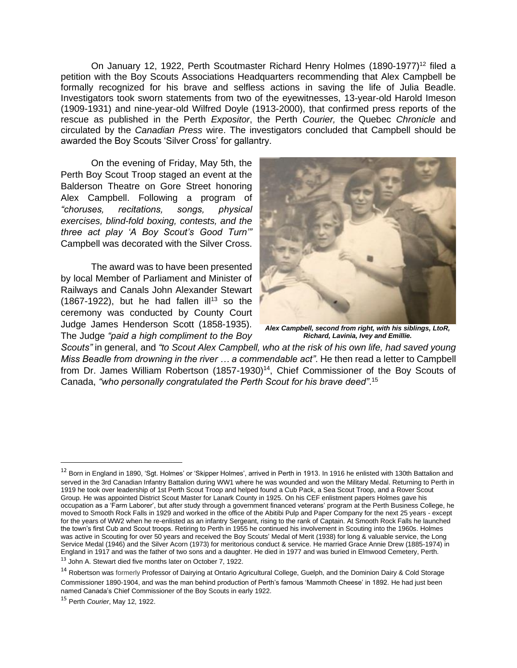On January 12, 1922, Perth Scoutmaster Richard Henry Holmes (1890-1977)<sup>12</sup> filed a petition with the Boy Scouts Associations Headquarters recommending that Alex Campbell be formally recognized for his brave and selfless actions in saving the life of Julia Beadle. Investigators took sworn statements from two of the eyewitnesses, 13-year-old Harold Imeson (1909-1931) and nine-year-old Wilfred Doyle (1913-2000), that confirmed press reports of the rescue as published in the Perth *Expositor*, the Perth *Courier,* the Quebec *Chronicle* and circulated by the *Canadian Press* wire. The investigators concluded that Campbell should be awarded the Boy Scouts 'Silver Cross' for gallantry.

On the evening of Friday, May 5th, the Perth Boy Scout Troop staged an event at the Balderson Theatre on Gore Street honoring Alex Campbell. Following a program of *"choruses, recitations, songs, physical exercises, blind-fold boxing, contests, and the three act play 'A Boy Scout's Good Turn'"* Campbell was decorated with the Silver Cross.

The award was to have been presented by local Member of Parliament and Minister of Railways and Canals John Alexander Stewart (1867-1922), but he had fallen ill<sup>13</sup> so the ceremony was conducted by County Court Judge James Henderson Scott (1858-1935). The Judge *"paid a high compliment to the Boy* 



*Alex Campbell, second from right, with his siblings, LtoR, Richard, Lavinia, Ivey and Emillie.*

*Scouts"* in general, and *"to Scout Alex Campbell, who at the risk of his own life, had saved young Miss Beadle from drowning in the river … a commendable act"*. He then read a letter to Campbell from Dr. James William Robertson (1857-1930)<sup>14</sup>, Chief Commissioner of the Boy Scouts of Canada, *"who personally congratulated the Perth Scout for his brave deed"*. 15

<sup>&</sup>lt;sup>12</sup> Born in England in 1890, 'Sgt. Holmes' or 'Skipper Holmes', arrived in Perth in 1913. In 1916 he enlisted with 130th Battalion and served in the 3rd Canadian Infantry Battalion during WW1 where he was wounded and won the Military Medal. Returning to Perth in 1919 he took over leadership of 1st Perth Scout Troop and helped found a Cub Pack, a Sea Scout Troop, and a Rover Scout Group. He was appointed District Scout Master for Lanark County in 1925. On his CEF enlistment papers Holmes gave his occupation as a 'Farm Laborer', but after study through a government financed veterans' program at the Perth Business College, he moved to Smooth Rock Falls in 1929 and worked in the office of the Abitibi Pulp and Paper Company for the next 25 years - except for the years of WW2 when he re-enlisted as an infantry Sergeant, rising to the rank of Captain. At Smooth Rock Falls he launched the town's first Cub and Scout troops. Retiring to Perth in 1955 he continued his involvement in Scouting into the 1960s. Holmes was active in Scouting for over 50 years and received the Boy Scouts' Medal of Merit (1938) for long & valuable service, the Long Service Medal (1946) and the Silver Acorn (1973) for meritorious conduct & service. He married Grace Annie Drew (1885-1974) in England in 1917 and was the father of two sons and a daughter. He died in 1977 and was buried in Elmwood Cemetery, Perth. <sup>13</sup> John A. Stewart died five months later on October 7, 1922.

<sup>&</sup>lt;sup>14</sup> Robertson was formerly Professor of Dairying at Ontario Agricultural College, Guelph, and the Dominion Dairy & Cold Storage Commissioner 1890-1904, and was the man behind production of Perth's famous 'Mammoth Cheese' in 1892. He had just been named Canada's Chief Commissioner of the Boy Scouts in early 1922.

<sup>15</sup> Perth *Courier*, May 12, 1922.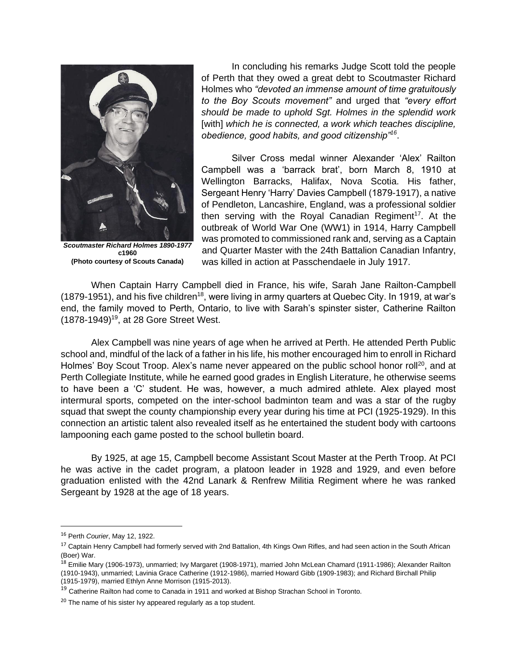

*Scoutmaster Richard Holmes 1890-1977* **c1960 (Photo courtesy of Scouts Canada)**

In concluding his remarks Judge Scott told the people of Perth that they owed a great debt to Scoutmaster Richard Holmes who *"devoted an immense amount of time gratuitously to the Boy Scouts movement"* and urged that *"every effort should be made to uphold Sgt. Holmes in the splendid work*  [with] which he is connected, a work which teaches discipline, *obedience, good habits, and good citizenship"<sup>16</sup>* .

Silver Cross medal winner Alexander 'Alex' Railton Campbell was a 'barrack brat', born March 8, 1910 at Wellington Barracks, Halifax, Nova Scotia. His father, Sergeant Henry 'Harry' Davies Campbell (1879-1917), a native of Pendleton, Lancashire, England, was a professional soldier then serving with the Royal Canadian Regiment<sup>17</sup>. At the outbreak of World War One (WW1) in 1914, Harry Campbell was promoted to commissioned rank and, serving as a Captain and Quarter Master with the 24th Battalion Canadian Infantry, was killed in action at Passchendaele in July 1917.

When Captain Harry Campbell died in France, his wife, Sarah Jane Railton-Campbell (1879-1951), and his five children<sup>18</sup>, were living in army quarters at Quebec City. In 1919, at war's end, the family moved to Perth, Ontario, to live with Sarah's spinster sister, Catherine Railton (1878-1949)<sup>19</sup>, at 28 Gore Street West.

Alex Campbell was nine years of age when he arrived at Perth. He attended Perth Public school and, mindful of the lack of a father in his life, his mother encouraged him to enroll in Richard Holmes' Boy Scout Troop. Alex's name never appeared on the public school honor roll<sup>20</sup>, and at Perth Collegiate Institute, while he earned good grades in English Literature, he otherwise seems to have been a 'C' student. He was, however, a much admired athlete. Alex played most intermural sports, competed on the inter-school badminton team and was a star of the rugby squad that swept the county championship every year during his time at PCI (1925-1929). In this connection an artistic talent also revealed itself as he entertained the student body with cartoons lampooning each game posted to the school bulletin board.

By 1925, at age 15, Campbell become Assistant Scout Master at the Perth Troop. At PCI he was active in the cadet program, a platoon leader in 1928 and 1929, and even before graduation enlisted with the 42nd Lanark & Renfrew Militia Regiment where he was ranked Sergeant by 1928 at the age of 18 years.

<sup>16</sup> Perth *Courier*, May 12, 1922.

<sup>&</sup>lt;sup>17</sup> Captain Henry Campbell had formerly served with 2nd Battalion, 4th Kings Own Rifles, and had seen action in the South African (Boer) War.

<sup>&</sup>lt;sup>18</sup> Emilie Mary (1906-1973), unmarried; Ivy Margaret (1908-1971), married John McLean Chamard (1911-1986); Alexander Railton (1910-1943), unmarried; Lavinia Grace Catherine (1912-1986), married Howard Gibb (1909-1983); and Richard Birchall Philip (1915-1979), married Ethlyn Anne Morrison (1915-2013).

<sup>&</sup>lt;sup>19</sup> Catherine Railton had come to Canada in 1911 and worked at Bishop Strachan School in Toronto.

 $20$  The name of his sister Ivy appeared regularly as a top student.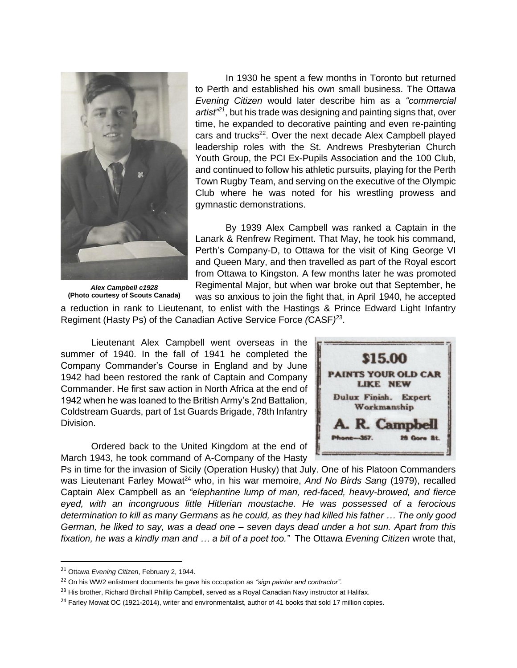

*Alex Campbell c1928* **(Photo courtesy of Scouts Canada)**

In 1930 he spent a few months in Toronto but returned to Perth and established his own small business. The Ottawa *Evening Citizen* would later describe him as a *"commercial artist"<sup>21</sup>*, but his trade was designing and painting signs that, over time, he expanded to decorative painting and even re-painting cars and trucks<sup>22</sup>. Over the next decade Alex Campbell played leadership roles with the St. Andrews Presbyterian Church Youth Group, the PCI Ex-Pupils Association and the 100 Club, and continued to follow his athletic pursuits, playing for the Perth Town Rugby Team, and serving on the executive of the Olympic Club where he was noted for his wrestling prowess and gymnastic demonstrations.

By 1939 Alex Campbell was ranked a Captain in the Lanark & Renfrew Regiment. That May, he took his command, Perth's Company-D, to Ottawa for the visit of King George VI and Queen Mary, and then travelled as part of the Royal escort from Ottawa to Kingston. A few months later he was promoted Regimental Major, but when war broke out that September, he was so anxious to join the fight that, in April 1940, he accepted

a reduction in rank to Lieutenant, to enlist with the Hastings & Prince Edward Light Infantry Regiment (Hasty Ps) of the Canadian Active Service Force *(*CASF*)* 23 .

Lieutenant Alex Campbell went overseas in the summer of 1940. In the fall of 1941 he completed the Company Commander's Course in England and by June 1942 had been restored the rank of Captain and Company Commander. He first saw action in North Africa at the end of 1942 when he was loaned to the British Army's 2nd Battalion, Coldstream Guards, part of 1st Guards Brigade, 78th Infantry Division.

Ordered back to the United Kingdom at the end of March 1943, he took command of A-Company of the Hasty



Ps in time for the invasion of Sicily (Operation Husky) that July. One of his Platoon Commanders was Lieutenant Farley Mowat<sup>24</sup> who, in his war memoire, *And No Birds Sang* (1979), recalled Captain Alex Campbell as an *"elephantine lump of man, red-faced, heavy-browed, and fierce eyed, with an incongruous little Hitlerian moustache. He was possessed of a ferocious determination to kill as many Germans as he could, as they had killed his father … The only good German, he liked to say, was a dead one – seven days dead under a hot sun. Apart from this fixation, he was a kindly man and … a bit of a poet too."* The Ottawa *Evening Citizen* wrote that,

<sup>21</sup> Ottawa *Evening Citizen*, February 2, 1944.

<sup>22</sup> On his WW2 enlistment documents he gave his occupation as *"sign painter and contractor"*.

<sup>&</sup>lt;sup>23</sup> His brother, Richard Birchall Phillip Campbell, served as a Royal Canadian Navy instructor at Halifax.

<sup>&</sup>lt;sup>24</sup> Farley Mowat OC (1921-2014), writer and environmentalist, author of 41 books that sold 17 million copies.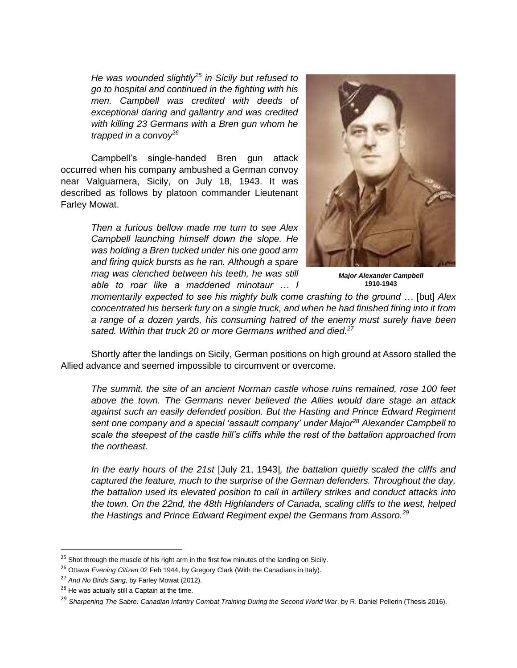*He was wounded slightly<sup>25</sup> in Sicily but refused to go to hospital and continued in the fighting with his men. Campbell was credited with deeds of exceptional daring and gallantry and was credited with killing 23 Germans with a Bren gun whom he trapped in a convoy<sup>26</sup>*

Campbell's single-handed Bren gun attack occurred when his company ambushed a German convoy near Valguarnera, Sicily, on July 18, 1943. It was described as follows by platoon commander Lieutenant Farley Mowat.

> *Then a furious bellow made me turn to see Alex Campbell launching himself down the slope. He was holding a Bren tucked under his one good arm and firing quick bursts as he ran. Although a spare mag was clenched between his teeth, he was still able to roar like a maddened minotaur … I*



*Major Alexander Campbell* **1910-1943**

*momentarily expected to see his mighty bulk come crashing to the ground …* [but] *Alex concentrated his berserk fury on a single truck, and when he had finished firing into it from a range of a dozen yards, his consuming hatred of the enemy must surely have been sated. Within that truck 20 or more Germans writhed and died.<sup>27</sup>*

Shortly after the landings on Sicily, German positions on high ground at Assoro stalled the Allied advance and seemed impossible to circumvent or overcome.

*The summit, the site of an ancient Norman castle whose ruins remained, rose 100 feet above the town. The Germans never believed the Allies would dare stage an attack against such an easily defended position. But the Hasting and Prince Edward Regiment sent one company and a special 'assault company' under Major*<sup>28</sup> *Alexander Campbell to scale the steepest of the castle hill's cliffs while the rest of the battalion approached from the northeast.* 

*In the early hours of the 21st* [July 21, 1943]*, the battalion quietly scaled the cliffs and captured the feature, much to the surprise of the German defenders. Throughout the day, the battalion used its elevated position to call in artillery strikes and conduct attacks into the town. On the 22nd, the 48th Highlanders of Canada, scaling cliffs to the west, helped the Hastings and Prince Edward Regiment expel the Germans from Assoro.<sup>29</sup>*

 $25$  Shot through the muscle of his right arm in the first few minutes of the landing on Sicily.

<sup>26</sup> Ottawa *Evening Citizen* 02 Feb 1944, by Gregory Clark (With the Canadians in Italy).

<sup>27</sup> *And No Birds Sang*, by Farley Mowat (2012).

<sup>&</sup>lt;sup>28</sup> He was actually still a Captain at the time.

<sup>&</sup>lt;sup>29</sup> Sharpening The Sabre: Canadian Infantry Combat Training During the Second World War, by R. Daniel Pellerin (Thesis 2016).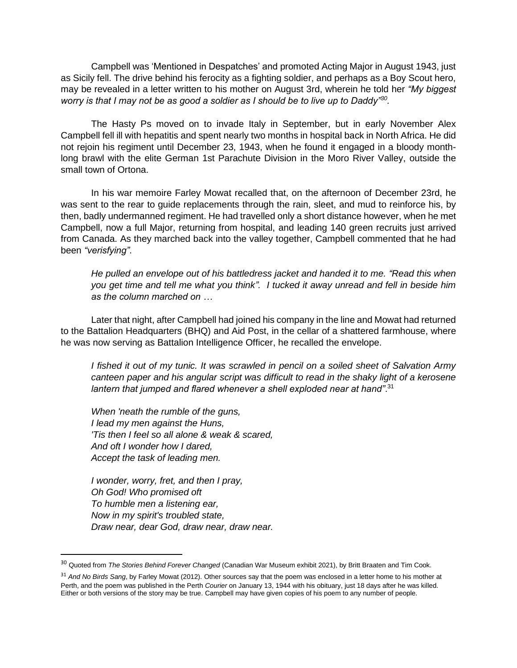Campbell was 'Mentioned in Despatches' and promoted Acting Major in August 1943, just as Sicily fell. The drive behind his ferocity as a fighting soldier, and perhaps as a Boy Scout hero, may be revealed in a letter written to his mother on August 3rd, wherein he told her *"My biggest worry is that I may not be as good a soldier as I should be to live up to Daddy"<sup>30</sup> .*

The Hasty Ps moved on to invade Italy in September, but in early November Alex Campbell fell ill with hepatitis and spent nearly two months in hospital back in North Africa. He did not rejoin his regiment until December 23, 1943, when he found it engaged in a bloody monthlong brawl with the elite German 1st Parachute Division in the Moro River Valley, outside the small town of Ortona.

In his war memoire Farley Mowat recalled that, on the afternoon of December 23rd, he was sent to the rear to guide replacements through the rain, sleet, and mud to reinforce his, by then, badly undermanned regiment. He had travelled only a short distance however, when he met Campbell, now a full Major, returning from hospital, and leading 140 green recruits just arrived from Canada. As they marched back into the valley together, Campbell commented that he had been *"verisfying"*.

*He pulled an envelope out of his battledress jacket and handed it to me. "Read this when you get time and tell me what you think". I tucked it away unread and fell in beside him as the column marched on …*

Later that night, after Campbell had joined his company in the line and Mowat had returned to the Battalion Headquarters (BHQ) and Aid Post, in the cellar of a shattered farmhouse, where he was now serving as Battalion Intelligence Officer, he recalled the envelope.

*I fished it out of my tunic. It was scrawled in pencil on a soiled sheet of Salvation Army canteen paper and his angular script was difficult to read in the shaky light of a kerosene lantern that jumped and flared whenever a shell exploded near at hand"*. 31

*When 'neath the rumble of the guns, I lead my men against the Huns, 'Tis then I feel so all alone & weak & scared, And oft I wonder how I dared, Accept the task of leading men.*

*I wonder, worry, fret, and then I pray, Oh God! Who promised oft To humble men a listening ear, Now in my spirit's troubled state, Draw near, dear God, draw near, draw near.*

<sup>30</sup> Quoted from *The Stories Behind Forever Changed* (Canadian War Museum exhibit 2021), by Britt Braaten and Tim Cook.

<sup>31</sup> *And No Birds Sang*, by Farley Mowat (2012). Other sources say that the poem was enclosed in a letter home to his mother at Perth, and the poem was published in the Perth *Courier* on January 13, 1944 with his obituary, just 18 days after he was killed. Either or both versions of the story may be true. Campbell may have given copies of his poem to any number of people.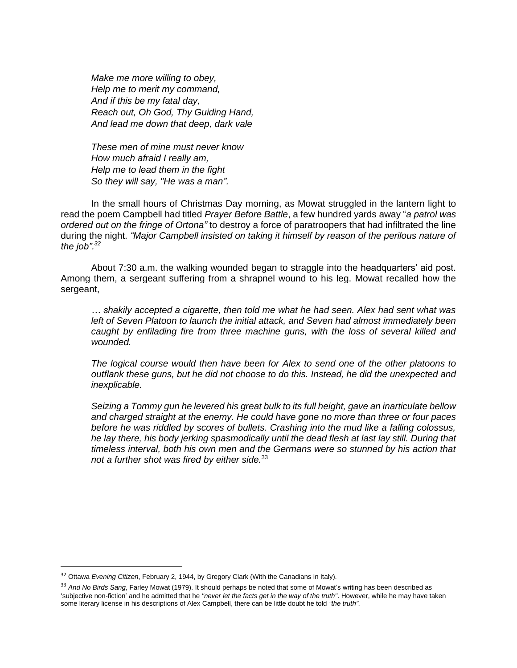*Make me more willing to obey, Help me to merit my command, And if this be my fatal day, Reach out, Oh God, Thy Guiding Hand, And lead me down that deep, dark vale*

*These men of mine must never know How much afraid I really am, Help me to lead them in the fight So they will say, "He was a man".*

In the small hours of Christmas Day morning, as Mowat struggled in the lantern light to read the poem Campbell had titled *Prayer Before Battle*, a few hundred yards away "*a patrol was ordered out on the fringe of Ortona"* to destroy a force of paratroopers that had infiltrated the line during the night. *"Major Campbell insisted on taking it himself by reason of the perilous nature of the job".<sup>32</sup>*

About 7:30 a.m. the walking wounded began to straggle into the headquarters' aid post. Among them, a sergeant suffering from a shrapnel wound to his leg. Mowat recalled how the sergeant,

*… shakily accepted a cigarette, then told me what he had seen. Alex had sent what was left of Seven Platoon to launch the initial attack, and Seven had almost immediately been caught by enfilading fire from three machine guns, with the loss of several killed and wounded.* 

*The logical course would then have been for Alex to send one of the other platoons to outflank these guns, but he did not choose to do this. Instead, he did the unexpected and inexplicable.*

*Seizing a Tommy gun he levered his great bulk to its full height, gave an inarticulate bellow and charged straight at the enemy. He could have gone no more than three or four paces before he was riddled by scores of bullets. Crashing into the mud like a falling colossus, he lay there, his body jerking spasmodically until the dead flesh at last lay still. During that timeless interval, both his own men and the Germans were so stunned by his action that not a further shot was fired by either side.*<sup>33</sup>

<sup>32</sup> Ottawa *Evening Citizen*, February 2, 1944, by Gregory Clark (With the Canadians in Italy).

<sup>33</sup> *And No Birds Sang*, Farley Mowat (1979). It should perhaps be noted that some of Mowat's writing has been described as 'subjective non-fiction' and he admitted that he *"never let the facts get in the way of the truth"*. However, while he may have taken some literary license in his descriptions of Alex Campbell, there can be little doubt he told *"the truth"*.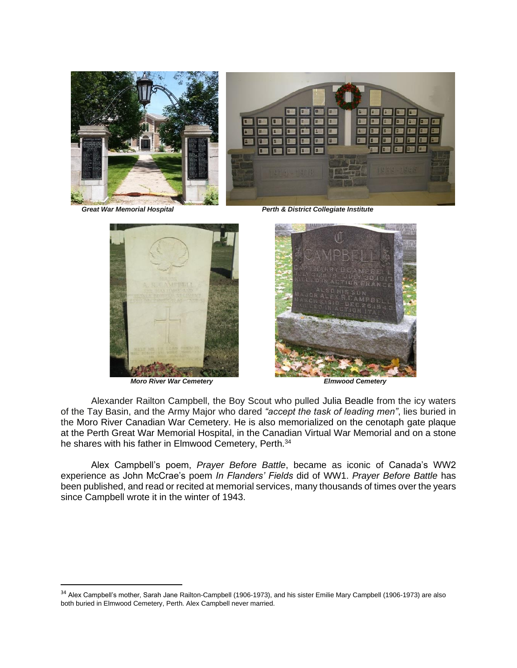

 *Great War Memorial Hospital Perth & District Collegiate Institute*



*Moro River War Cemetery Elmwood Cemetery*



Alexander Railton Campbell, the Boy Scout who pulled Julia Beadle from the icy waters of the Tay Basin, and the Army Major who dared *"accept the task of leading men"*, lies buried in the Moro River Canadian War Cemetery. He is also memorialized on the cenotaph gate plaque at the Perth Great War Memorial Hospital, in the Canadian Virtual War Memorial and on a stone he shares with his father in Elmwood Cemetery, Perth.<sup>34</sup>

Alex Campbell's poem, *Prayer Before Battle*, became as iconic of Canada's WW2 experience as John McCrae's poem *In Flanders' Fields* did of WW1. *Prayer Before Battle* has been published, and read or recited at memorial services, many thousands of times over the years since Campbell wrote it in the winter of 1943.

<sup>&</sup>lt;sup>34</sup> Alex Campbell's mother, Sarah Jane Railton-Campbell (1906-1973), and his sister Emilie Mary Campbell (1906-1973) are also both buried in Elmwood Cemetery, Perth. Alex Campbell never married.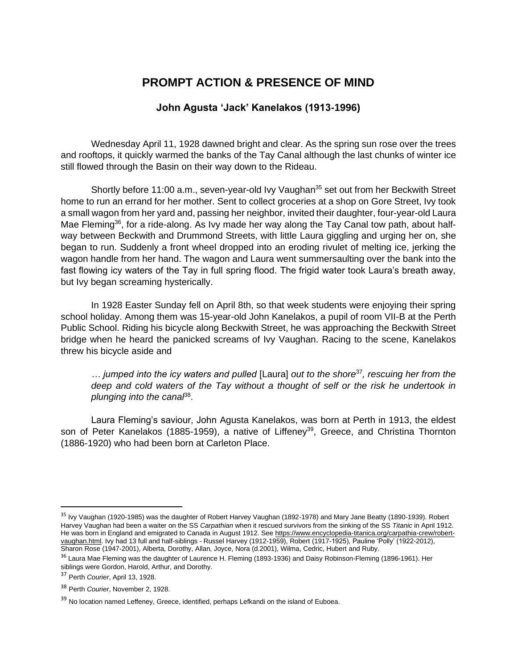## **PROMPT ACTION & PRESENCE OF MIND**

### **John Agusta 'Jack' Kanelakos (1913-1996)**

Wednesday April 11, 1928 dawned bright and clear. As the spring sun rose over the trees and rooftops, it quickly warmed the banks of the Tay Canal although the last chunks of winter ice still flowed through the Basin on their way down to the Rideau.

Shortly before 11:00 a.m., seven-year-old Ivy Vaughan<sup>35</sup> set out from her Beckwith Street home to run an errand for her mother. Sent to collect groceries at a shop on Gore Street, Ivy took a small wagon from her yard and, passing her neighbor, invited their daughter, four-year-old Laura Mae Fleming<sup>36</sup>, for a ride-along. As Ivy made her way along the Tay Canal tow path, about halfway between Beckwith and Drummond Streets, with little Laura giggling and urging her on, she began to run. Suddenly a front wheel dropped into an eroding rivulet of melting ice, jerking the wagon handle from her hand. The wagon and Laura went summersaulting over the bank into the fast flowing icy waters of the Tay in full spring flood. The frigid water took Laura's breath away, but Ivy began screaming hysterically.

In 1928 Easter Sunday fell on April 8th, so that week students were enjoying their spring school holiday. Among them was 15-year-old John Kanelakos, a pupil of room VII-B at the Perth Public School. Riding his bicycle along Beckwith Street, he was approaching the Beckwith Street bridge when he heard the panicked screams of Ivy Vaughan. Racing to the scene, Kanelakos threw his bicycle aside and

*… jumped into the icy waters and pulled* [Laura] *out to the shore*<sup>37</sup>*, rescuing her from the deep and cold waters of the Tay without a thought of self or the risk he undertook in*  plunging into the canal<sup>88</sup>.

Laura Fleming's saviour, John Agusta Kanelakos, was born at Perth in 1913, the eldest son of Peter Kanelakos (1885-1959), a native of Liffeney<sup>39</sup>, Greece, and Christina Thornton (1886-1920) who had been born at Carleton Place.

<sup>&</sup>lt;sup>35</sup> Ivy Vaughan (1920-1985) was the daughter of Robert Harvey Vaughan (1892-1978) and Mary Jane Beatty (1890-1939). Robert Harvey Vaughan had been a waiter on the SS *Carpathian* when it rescued survivors from the sinking of the SS *Titanic* in April 1912. He was born in England and emigrated to Canada in August 1912. See [https://www.encyclopedia-titanica.org/carpathia-crew/robert](https://www.encyclopedia-titanica.org/carpathia-crew/robert-vaughan.html)[vaughan.html.](https://www.encyclopedia-titanica.org/carpathia-crew/robert-vaughan.html) Ivy had 13 full and half-siblings - Russel Harvey (1912-1959), Robert (1917-1925), Pauline 'Polly' (1922-2012), Sharon Rose (1947-2001), Alberta, Dorothy, Allan, Joyce, Nora (d.2001), Wilma, Cedric, Hubert and Ruby.

<sup>&</sup>lt;sup>36</sup> Laura Mae Fleming was the daughter of Laurence H. Fleming (1893-1936) and Daisy Robinson-Fleming (1896-1961). Her siblings were Gordon, Harold, Arthur, and Dorothy.

<sup>37</sup> Perth *Courier*, April 13, 1928.

<sup>38</sup> Perth *Courier*, November 2, 1928.

<sup>&</sup>lt;sup>39</sup> No location named Leffeney, Greece, identified, perhaps Lefkandi on the island of Euboea.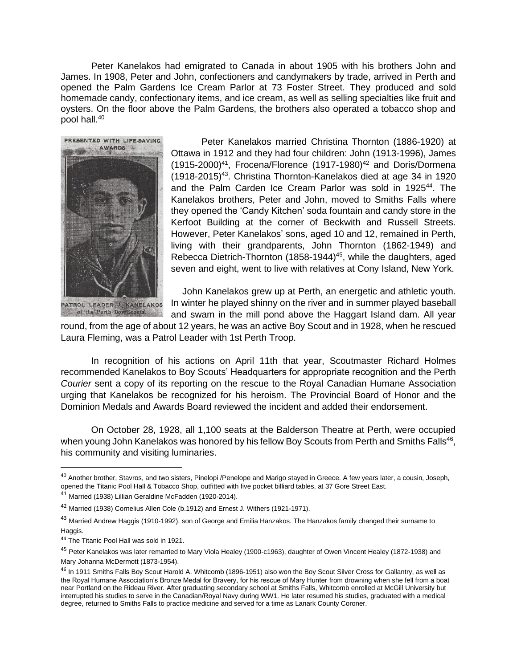Peter Kanelakos had emigrated to Canada in about 1905 with his brothers John and James. In 1908, Peter and John, confectioners and candymakers by trade, arrived in Perth and opened the Palm Gardens Ice Cream Parlor at 73 Foster Street. They produced and sold homemade candy, confectionary items, and ice cream, as well as selling specialties like fruit and oysters. On the floor above the Palm Gardens, the brothers also operated a tobacco shop and pool hall.<sup>40</sup>



Peter Kanelakos married Christina Thornton (1886-1920) at Ottawa in 1912 and they had four children: John (1913-1996), James  $(1915-2000)^{41}$ , Frocena/Florence  $(1917-1980)^{42}$  and Doris/Dormena (1918-2015)<sup>43</sup>. Christina Thornton-Kanelakos died at age 34 in 1920 and the Palm Carden Ice Cream Parlor was sold in 1925<sup>44</sup>. The Kanelakos brothers, Peter and John, moved to Smiths Falls where they opened the 'Candy Kitchen' soda fountain and candy store in the Kerfoot Building at the corner of Beckwith and Russell Streets. However, Peter Kanelakos' sons, aged 10 and 12, remained in Perth, living with their grandparents, John Thornton (1862-1949) and Rebecca Dietrich-Thornton  $(1858-1944)^{45}$ , while the daughters, aged seven and eight, went to live with relatives at Cony Island, New York.

John Kanelakos grew up at Perth, an energetic and athletic youth. In winter he played shinny on the river and in summer played baseball and swam in the mill pond above the Haggart Island dam. All year

round, from the age of about 12 years, he was an active Boy Scout and in 1928, when he rescued Laura Fleming, was a Patrol Leader with 1st Perth Troop.

In recognition of his actions on April 11th that year, Scoutmaster Richard Holmes recommended Kanelakos to Boy Scouts' Headquarters for appropriate recognition and the Perth *Courier* sent a copy of its reporting on the rescue to the Royal Canadian Humane Association urging that Kanelakos be recognized for his heroism. The Provincial Board of Honor and the Dominion Medals and Awards Board reviewed the incident and added their endorsement.

On October 28, 1928, all 1,100 seats at the Balderson Theatre at Perth, were occupied when young John Kanelakos was honored by his fellow Boy Scouts from Perth and Smiths Falls<sup>46</sup>, his community and visiting luminaries.

<sup>40</sup> Another brother, Stavros, and two sisters, Pinelopi /Penelope and Marigo stayed in Greece. A few years later, a cousin, Joseph, opened the Titanic Pool Hall & Tobacco Shop, outfitted with five pocket billiard tables, at 37 Gore Street East.

<sup>41</sup> Married (1938) Lillian Geraldine McFadden (1920-2014).

<sup>&</sup>lt;sup>42</sup> Married (1938) Cornelius Allen Cole (b.1912) and Ernest J. Withers (1921-1971).

<sup>&</sup>lt;sup>43</sup> Married Andrew Haggis (1910-1992), son of George and Emilia Hanzakos. The Hanzakos family changed their surname to Haggis.

<sup>44</sup> The Titanic Pool Hall was sold in 1921.

<sup>&</sup>lt;sup>45</sup> Peter Kanelakos was later remarried to Mary Viola Healey (1900-c1963), daughter of Owen Vincent Healey (1872-1938) and Mary Johanna McDermott (1873-1954).

<sup>&</sup>lt;sup>46</sup> In 1911 Smiths Falls Boy Scout Harold A. Whitcomb (1896-1951) also won the Boy Scout Silver Cross for Gallantry, as well as the Royal Humane Association's Bronze Medal for Bravery, for his rescue of Mary Hunter from drowning when she fell from a boat near Portland on the Rideau River. After graduating secondary school at Smiths Falls, Whitcomb enrolled at McGill University but interrupted his studies to serve in the Canadian/Royal Navy during WW1. He later resumed his studies, graduated with a medical degree, returned to Smiths Falls to practice medicine and served for a time as Lanark County Coroner.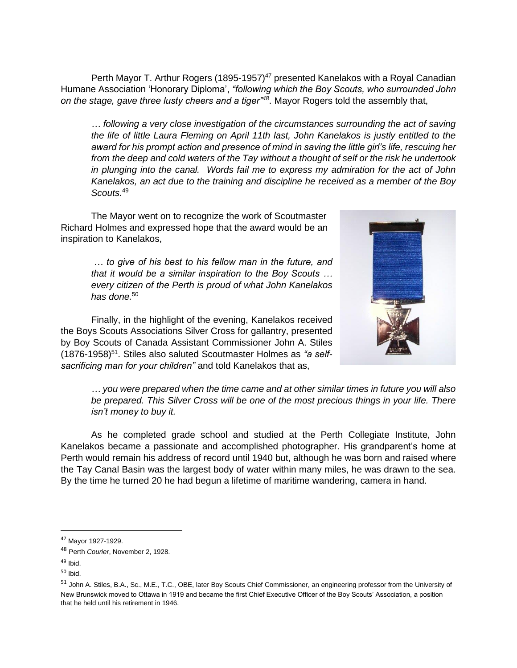Perth Mayor T. Arthur Rogers (1895-1957)<sup>47</sup> presented Kanelakos with a Royal Canadian Humane Association 'Honorary Diploma', *"following which the Boy Scouts, who surrounded John on the stage, gave three lusty cheers and a tiger"<sup>48</sup>*. Mayor Rogers told the assembly that,

*… following a very close investigation of the circumstances surrounding the act of saving the life of little Laura Fleming on April 11th last, John Kanelakos is justly entitled to the award for his prompt action and presence of mind in saving the little girl's life, rescuing her from the deep and cold waters of the Tay without a thought of self or the risk he undertook in plunging into the canal. Words fail me to express my admiration for the act of John Kanelakos, an act due to the training and discipline he received as a member of the Boy Scouts.* 49

The Mayor went on to recognize the work of Scoutmaster Richard Holmes and expressed hope that the award would be an inspiration to Kanelakos,

> *… to give of his best to his fellow man in the future, and that it would be a similar inspiration to the Boy Scouts … every citizen of the Perth is proud of what John Kanelakos has done.*<sup>50</sup>

Finally, in the highlight of the evening, Kanelakos received the Boys Scouts Associations Silver Cross for gallantry, presented by Boy Scouts of Canada Assistant Commissioner John A. Stiles (1876-1958)<sup>51</sup>. Stiles also saluted Scoutmaster Holmes as "a self*sacrificing man for your children"* and told Kanelakos that as,



*… you were prepared when the time came and at other similar times in future you will also be prepared. This Silver Cross will be one of the most precious things in your life. There isn't money to buy it.*

As he completed grade school and studied at the Perth Collegiate Institute, John Kanelakos became a passionate and accomplished photographer. His grandparent's home at Perth would remain his address of record until 1940 but, although he was born and raised where the Tay Canal Basin was the largest body of water within many miles, he was drawn to the sea. By the time he turned 20 he had begun a lifetime of maritime wandering, camera in hand.

<sup>47</sup> Mayor 1927-1929.

<sup>48</sup> Perth *Courier*, November 2, 1928.

 $49$  Ibid.

<sup>50</sup> Ibid.

<sup>51</sup> John A. Stiles, B.A., Sc., M.E., T.C., OBE, later Boy Scouts Chief Commissioner, an engineering professor from the University of New Brunswick moved to Ottawa in 1919 and became the first Chief Executive Officer of the Boy Scouts' Association, a position that he held until his retirement in 1946.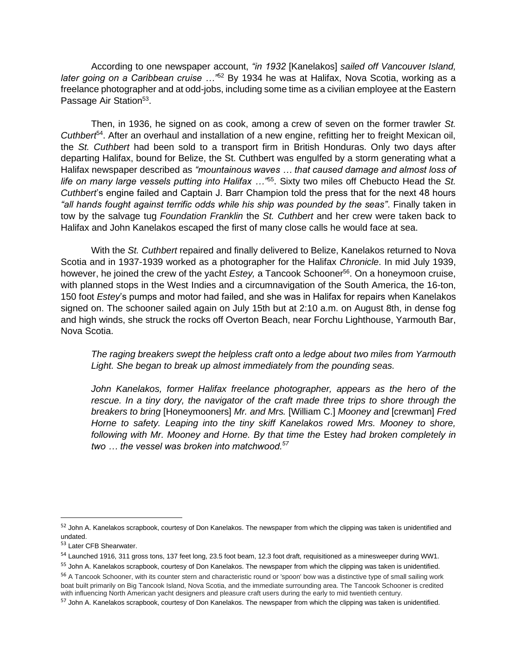According to one newspaper account, *"in 1932* [Kanelakos] *sailed off Vancouver Island, later going on a Caribbean cruise …"*<sup>52</sup> By 1934 he was at Halifax, Nova Scotia, working as a freelance photographer and at odd-jobs, including some time as a civilian employee at the Eastern Passage Air Station<sup>53</sup>.

Then, in 1936, he signed on as cook, among a crew of seven on the former trawler *St. Cuthbert*<sup>54</sup>. After an overhaul and installation of a new engine, refitting her to freight Mexican oil, the *St. Cuthbert* had been sold to a transport firm in British Honduras. Only two days after departing Halifax, bound for Belize, the St. Cuthbert was engulfed by a storm generating what a Halifax newspaper described as *"mountainous waves … that caused damage and almost loss of life on many large vessels putting into Halifax …"*<sup>55</sup>. Sixty two miles off Chebucto Head the *St. Cuthbert*'s engine failed and Captain J. Barr Champion told the press that for the next 48 hours *"all hands fought against terrific odds while his ship was pounded by the seas"*. Finally taken in tow by the salvage tug *Foundation Franklin* the *St. Cuthbert* and her crew were taken back to Halifax and John Kanelakos escaped the first of many close calls he would face at sea.

With the *St. Cuthbert* repaired and finally delivered to Belize, Kanelakos returned to Nova Scotia and in 1937-1939 worked as a photographer for the Halifax *Chronicle*. In mid July 1939, however, he joined the crew of the yacht *Estey,* a Tancook Schooner<sup>56</sup>. On a honeymoon cruise, with planned stops in the West Indies and a circumnavigation of the South America, the 16-ton, 150 foot *Estey*'s pumps and motor had failed, and she was in Halifax for repairs when Kanelakos signed on. The schooner sailed again on July 15th but at 2:10 a.m. on August 8th, in dense fog and high winds, she struck the rocks off Overton Beach, near Forchu Lighthouse, Yarmouth Bar, Nova Scotia.

*The raging breakers swept the helpless craft onto a ledge about two miles from Yarmouth Light. She began to break up almost immediately from the pounding seas.*

John Kanelakos, former Halifax freelance photographer, appears as the hero of the *rescue. In a tiny dory, the navigator of the craft made three trips to shore through the breakers to bring* [Honeymooners] *Mr. and Mrs.* [William C.] *Mooney and* [crewman] *Fred Horne to safety. Leaping into the tiny skiff Kanelakos rowed Mrs. Mooney to shore, following with Mr. Mooney and Horne. By that time the* Estey *had broken completely in two … the vessel was broken into matchwood.<sup>57</sup>*

<sup>52</sup> John A. Kanelakos scrapbook, courtesy of Don Kanelakos. The newspaper from which the clipping was taken is unidentified and undated.

<sup>53</sup> Later CFB Shearwater.

<sup>54</sup> Launched 1916, 311 gross tons, 137 feet long, 23.5 foot beam, 12.3 foot draft, requisitioned as a minesweeper during WW1.

<sup>&</sup>lt;sup>55</sup> John A. Kanelakos scrapbook, courtesy of Don Kanelakos. The newspaper from which the clipping was taken is unidentified.

<sup>&</sup>lt;sup>56</sup> A Tancook Schooner, with its counter stern and characteristic round or 'spoon' bow was a distinctive type of small sailing work boat built primarily on Big Tancook Island, Nova Scotia, and the immediate surrounding area. The Tancook Schooner is credited with influencing North American yacht designers and pleasure craft users during the early to mid twentieth century.

<sup>&</sup>lt;sup>57</sup> John A. Kanelakos scrapbook, courtesy of Don Kanelakos. The newspaper from which the clipping was taken is unidentified.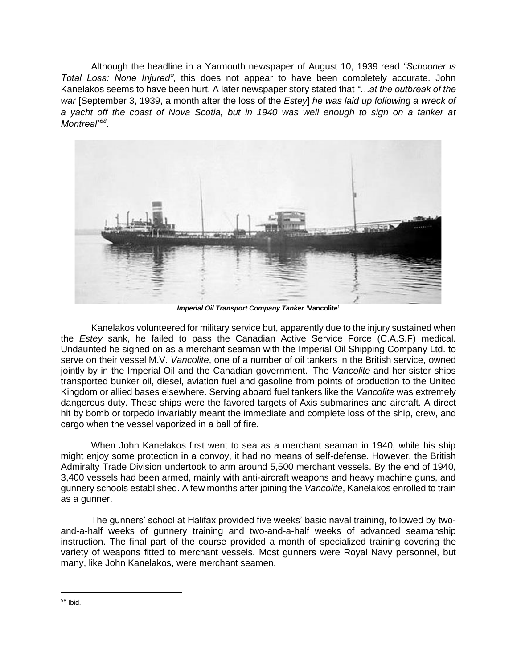Although the headline in a Yarmouth newspaper of August 10, 1939 read *"Schooner is Total Loss: None Injured"*, this does not appear to have been completely accurate. John Kanelakos seems to have been hurt. A later newspaper story stated that *"…at the outbreak of the war* [September 3, 1939, a month after the loss of the *Estey*] *he was laid up following a wreck of a yacht off the coast of Nova Scotia, but in 1940 was well enough to sign on a tanker at Montreal"<sup>58</sup>* .



*Imperial Oil Transport Company Tanker '***Vancolite'**

Kanelakos volunteered for military service but, apparently due to the injury sustained when the *Estey* sank, he failed to pass the Canadian Active Service Force (C.A.S.F) medical. Undaunted he signed on as a merchant seaman with the Imperial Oil Shipping Company Ltd. to serve on their vessel M.V. *Vancolite*, one of a number of oil tankers in the British service, owned jointly by in the Imperial Oil and the Canadian government. The *Vancolite* and her sister ships transported bunker oil, diesel, aviation fuel and gasoline from points of production to the United Kingdom or allied bases elsewhere. Serving aboard fuel tankers like the *Vancolite* was extremely dangerous duty. These ships were the favored targets of Axis submarines and aircraft. A direct hit by bomb or torpedo invariably meant the immediate and complete loss of the ship, crew, and cargo when the vessel vaporized in a ball of fire.

When John Kanelakos first went to sea as a merchant seaman in 1940, while his ship might enjoy some protection in a convoy, it had no means of self-defense. However, the British Admiralty Trade Division undertook to arm around 5,500 merchant vessels. By the end of 1940, 3,400 vessels had been armed, mainly with anti-aircraft weapons and heavy machine guns, and gunnery schools established. A few months after joining the *Vancolite*, Kanelakos enrolled to train as a gunner.

The gunners' school at Halifax provided five weeks' basic naval training, followed by twoand-a-half weeks of gunnery training and two-and-a-half weeks of advanced seamanship instruction. The final part of the course provided a month of specialized training covering the variety of weapons fitted to merchant vessels. Most gunners were Royal Navy personnel, but many, like John Kanelakos, were merchant seamen.

<sup>58</sup> Ibid.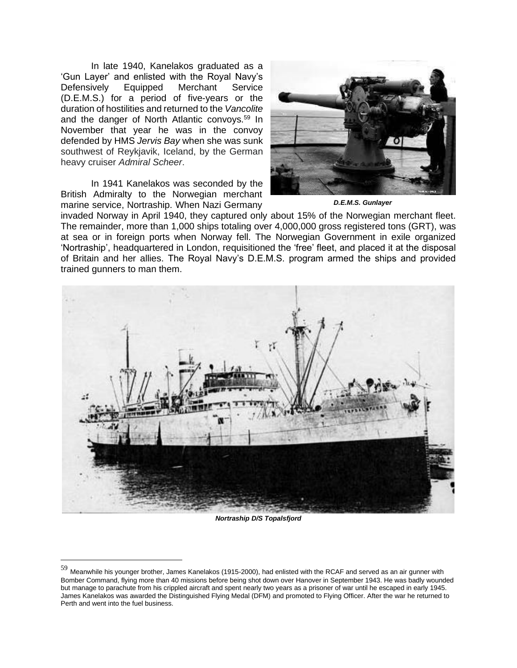In late 1940, Kanelakos graduated as a 'Gun Layer' and enlisted with the Royal Navy's Defensively Equipped Merchant Service (D.E.M.S.) for a period of five-years or the duration of hostilities and returned to the *Vancolite* and the danger of North Atlantic convoys.<sup>59</sup> In November that year he was in the convoy defended by HMS *Jervis Bay* when she was sunk southwest of Reykjavik, Iceland, by the German heavy cruiser *Admiral Scheer*.

In 1941 Kanelakos was seconded by the British Admiralty to the Norwegian merchant marine service, Nortraship. When Nazi Germany



*D.E.M.S. Gunlayer*

invaded Norway in April 1940, they captured only about 15% of the Norwegian merchant fleet. The remainder, more than 1,000 ships totaling over 4,000,000 gross registered tons (GRT), was at sea or in foreign ports when Norway fell. The Norwegian Government in exile organized 'Nortraship', headquartered in London, requisitioned the 'free' fleet, and placed it at the disposal of Britain and her allies. The Royal Navy's D.E.M.S. program armed the ships and provided trained gunners to man them.



*Nortraship D/S Topalsfjord*

 $59$  Meanwhile his younger brother, James Kanelakos (1915-2000), had enlisted with the RCAF and served as an air gunner with Bomber Command, flying more than 40 missions before being shot down over Hanover in September 1943. He was badly wounded but manage to parachute from his crippled aircraft and spent nearly two years as a prisoner of war until he escaped in early 1945. James Kanelakos was awarded the Distinguished Flying Medal (DFM) and promoted to Flying Officer. After the war he returned to Perth and went into the fuel business.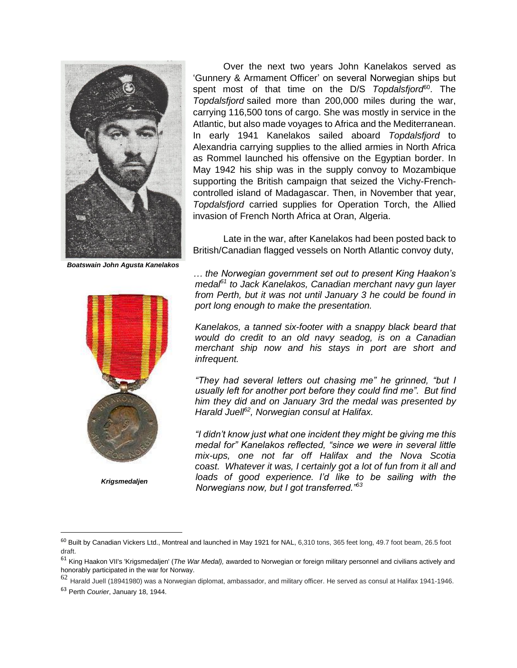

*Boatswain John Agusta Kanelakos*



*Krigsmedaljen*

Over the next two years John Kanelakos served as 'Gunnery & Armament Officer' on several Norwegian ships but spent most of that time on the D/S *Topdalsfjord*<sup>60</sup> . The *Topdalsfjord* sailed more than 200,000 miles during the war, carrying 116,500 tons of cargo. She was mostly in service in the Atlantic, but also made voyages to Africa and the Mediterranean. In early 1941 Kanelakos sailed aboard *Topdalsfjord* to Alexandria carrying supplies to the allied armies in North Africa as Rommel launched his offensive on the Egyptian border. In May 1942 his ship was in the supply convoy to Mozambique supporting the British campaign that seized the Vichy-Frenchcontrolled island of Madagascar. Then, in November that year, *Topdalsfjord* carried supplies for Operation Torch, the Allied invasion of French North Africa at Oran, Algeria.

Late in the war, after Kanelakos had been posted back to British/Canadian flagged vessels on North Atlantic convoy duty,

*… the Norwegian government set out to present King Haakon's medal<sup>61</sup> to Jack Kanelakos, Canadian merchant navy gun layer from Perth, but it was not until January 3 he could be found in port long enough to make the presentation.* 

*Kanelakos, a tanned six-footer with a snappy black beard that would do credit to an old navy seadog, is on a Canadian merchant ship now and his stays in port are short and infrequent.* 

*"They had several letters out chasing me" he grinned, "but I usually left for another port before they could find me". But find him they did and on January 3rd the medal was presented by Harald Juell<sup>62</sup>, Norwegian consul at Halifax.* 

*"I didn't know just what one incident they might be giving me this medal for" Kanelakos reflected, "since we were in several little mix-ups, one not far off Halifax and the Nova Scotia coast. Whatever it was, I certainly got a lot of fun from it all and*  loads of good experience. I'd like to be sailing with the *Norwegians now, but I got transferred."<sup>63</sup>* 

<sup>60</sup> Built by Canadian Vickers Ltd., Montreal and launched in May 1921 for NAL, 6,310 tons, 365 feet long, 49.7 foot beam, 26.5 foot draft.

<sup>61</sup> King Haakon VII's 'Krigsmedaljen' (*The War Medal),* awarded to Norwegian or foreign military personnel and civilians actively and honorably participated in the war for Norway.

 $62$  Harald Juell (18941980) was a Norwegian diplomat, ambassador, and military officer. He served as consul at Halifax 1941-1946.

<sup>63</sup> Perth *Courier*, January 18, 1944.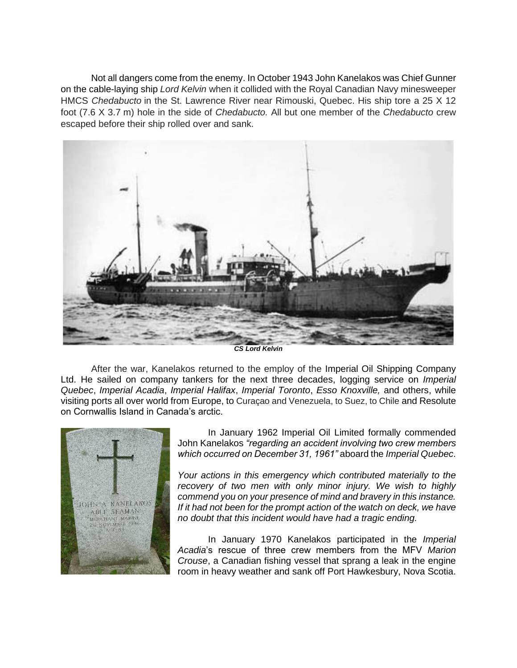Not all dangers come from the enemy. In October 1943 John Kanelakos was Chief Gunner on the cable-laying ship *Lord Kelvin* when it collided with the Royal Canadian Navy minesweeper HMCS *Chedabucto* in the St. Lawrence River near Rimouski, Quebec. His ship tore a 25 X 12 foot (7.6 X 3.7 m) hole in the side of *Chedabucto.* All but one member of the *Chedabucto* crew escaped before their ship rolled over and sank.



*CS Lord Kelvin*

After the war, Kanelakos returned to the employ of the Imperial Oil Shipping Company Ltd. He sailed on company tankers for the next three decades, logging service on *Imperial Quebec*, *Imperial Acadia*, *Imperial Halifax*, *Imperial Toronto*, *Esso Knoxville,* and others, while visiting ports all over world from Europe, to Curaçao and Venezuela, to Suez, to Chile and Resolute on Cornwallis Island in Canada's arctic.



In January 1962 Imperial Oil Limited formally commended John Kanelakos *"regarding an accident involving two crew members which occurred on December 31, 1961"* aboard the *Imperial Quebec*.

*Your actions in this emergency which contributed materially to the recovery of two men with only minor injury. We wish to highly commend you on your presence of mind and bravery in this instance. If it had not been for the prompt action of the watch on deck, we have no doubt that this incident would have had a tragic ending.*

In January 1970 Kanelakos participated in the *Imperial Acadia*'s rescue of three crew members from the MFV *Marion Crouse*, a Canadian fishing vessel that sprang a leak in the engine room in heavy weather and sank off Port Hawkesbury, Nova Scotia.